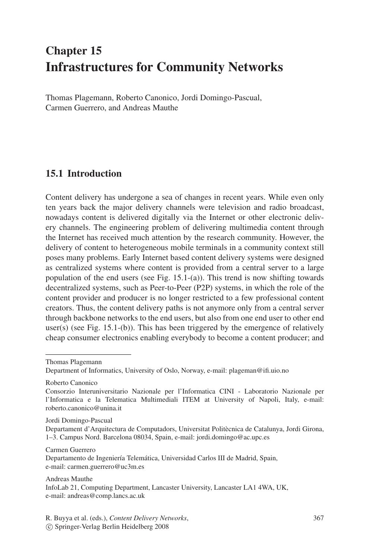# **Chapter 15 Infrastructures for Community Networks**

Thomas Plagemann, Roberto Canonico, Jordi Domingo-Pascual, Carmen Guerrero, and Andreas Mauthe

## **15.1 Introduction**

Content delivery has undergone a sea of changes in recent years. While even only ten years back the major delivery channels were television and radio broadcast, nowadays content is delivered digitally via the Internet or other electronic delivery channels. The engineering problem of delivering multimedia content through the Internet has received much attention by the research community. However, the delivery of content to heterogeneous mobile terminals in a community context still poses many problems. Early Internet based content delivery systems were designed as centralized systems where content is provided from a central server to a large population of the end users (see Fig.  $15.1-(a)$ ). This trend is now shifting towards decentralized systems, such as Peer-to-Peer (P2P) systems, in which the role of the content provider and producer is no longer restricted to a few professional content creators. Thus, the content delivery paths is not anymore only from a central server through backbone networks to the end users, but also from one end user to other end user(s) (see Fig.  $15.1-(b)$ ). This has been triggered by the emergence of relatively cheap consumer electronics enabling everybody to become a content producer; and

Thomas Plagemann

Roberto Canonico

Jordi Domingo-Pascual

Carmen Guerrero

Andreas Mauthe

Department of Informatics, University of Oslo, Norway, e-mail: plageman@ifi.uio.no

Consorzio Interuniversitario Nazionale per l'Informatica CINI - Laboratorio Nazionale per l'Informatica e la Telematica Multimediali ITEM at University of Napoli, Italy, e-mail: roberto.canonico@unina.it

Departament d'Arquitectura de Computadors, Universitat Politecnica de Catalunya, Jordi Girona, ` 1–3. Campus Nord. Barcelona 08034, Spain, e-mail: jordi.domingo@ac.upc.es

Departamento de Ingeniería Telemática, Universidad Carlos III de Madrid, Spain, e-mail: carmen.guerrero@uc3m.es

InfoLab 21, Computing Department, Lancaster University, Lancaster LA1 4WA, UK, e-mail: andreas@comp.lancs.ac.uk

R. Buyya et al. (eds.), *Content Delivery Networks*, 367 -c Springer-Verlag Berlin Heidelberg 2008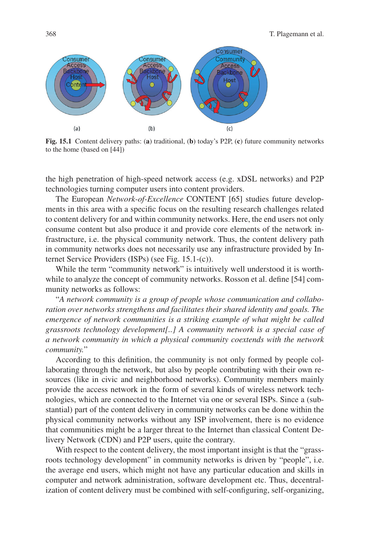

**Fig. 15.1** Content delivery paths: (**a**) traditional, (**b**) today's P2P, (**c**) future community networks to the home (based on [44])

the high penetration of high-speed network access (e.g. xDSL networks) and P2P technologies turning computer users into content providers.

The European *Network-of-Excellence* CONTENT [65] studies future developments in this area with a specific focus on the resulting research challenges related to content delivery for and within community networks. Here, the end users not only consume content but also produce it and provide core elements of the network infrastructure, i.e. the physical community network. Thus, the content delivery path in community networks does not necessarily use any infrastructure provided by Internet Service Providers (ISPs) (see Fig. 15.1-(c)).

While the term "community network" is intuitively well understood it is worthwhile to analyze the concept of community networks. Rosson et al. define [54] community networks as follows:

"*A network community is a group of people whose communication and collaboration over networks strengthens and facilitates their shared identity and goals. The emergence of network communities is a striking example of what might be called grassroots technology development[..] A community network is a special case of a network community in which a physical community coextends with the network community.*"

According to this definition, the community is not only formed by people collaborating through the network, but also by people contributing with their own resources (like in civic and neighborhood networks). Community members mainly provide the access network in the form of several kinds of wireless network technologies, which are connected to the Internet via one or several ISPs. Since a (substantial) part of the content delivery in community networks can be done within the physical community networks without any ISP involvement, there is no evidence that communities might be a larger threat to the Internet than classical Content Delivery Network (CDN) and P2P users, quite the contrary.

With respect to the content delivery, the most important insight is that the "grassroots technology development" in community networks is driven by "people", i.e. the average end users, which might not have any particular education and skills in computer and network administration, software development etc. Thus, decentralization of content delivery must be combined with self-configuring, self-organizing,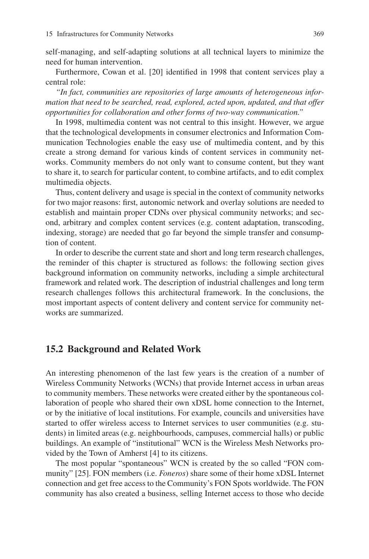self-managing, and self-adapting solutions at all technical layers to minimize the need for human intervention.

Furthermore, Cowan et al. [20] identified in 1998 that content services play a central role:

*"In fact, communities are repositories of large amounts of heterogeneous information that need to be searched, read, explored, acted upon, updated, and that offer opportunities for collaboration and other forms of two-way communication."*

In 1998, multimedia content was not central to this insight. However, we argue that the technological developments in consumer electronics and Information Communication Technologies enable the easy use of multimedia content, and by this create a strong demand for various kinds of content services in community networks. Community members do not only want to consume content, but they want to share it, to search for particular content, to combine artifacts, and to edit complex multimedia objects.

Thus, content delivery and usage is special in the context of community networks for two major reasons: first, autonomic network and overlay solutions are needed to establish and maintain proper CDNs over physical community networks; and second, arbitrary and complex content services (e.g. content adaptation, transcoding, indexing, storage) are needed that go far beyond the simple transfer and consumption of content.

In order to describe the current state and short and long term research challenges, the reminder of this chapter is structured as follows: the following section gives background information on community networks, including a simple architectural framework and related work. The description of industrial challenges and long term research challenges follows this architectural framework. In the conclusions, the most important aspects of content delivery and content service for community networks are summarized.

## **15.2 Background and Related Work**

An interesting phenomenon of the last few years is the creation of a number of Wireless Community Networks (WCNs) that provide Internet access in urban areas to community members. These networks were created either by the spontaneous collaboration of people who shared their own xDSL home connection to the Internet, or by the initiative of local institutions. For example, councils and universities have started to offer wireless access to Internet services to user communities (e.g. students) in limited areas (e.g. neighbourhoods, campuses, commercial halls) or public buildings. An example of "institutional" WCN is the Wireless Mesh Networks provided by the Town of Amherst [4] to its citizens.

The most popular "spontaneous" WCN is created by the so called "FON community" [25]. FON members (i.e. *Foneros*) share some of their home xDSL Internet connection and get free access to the Community's FON Spots worldwide. The FON community has also created a business, selling Internet access to those who decide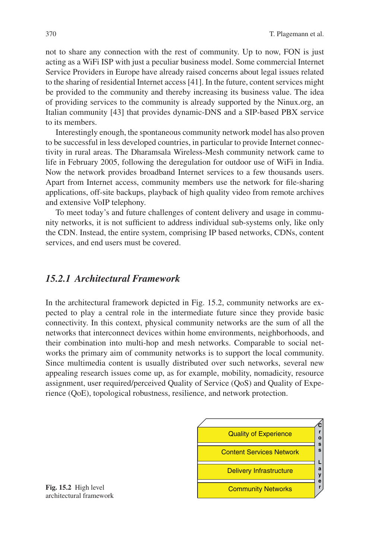not to share any connection with the rest of community. Up to now, FON is just acting as a WiFi ISP with just a peculiar business model. Some commercial Internet Service Providers in Europe have already raised concerns about legal issues related to the sharing of residential Internet access [41]. In the future, content services might be provided to the community and thereby increasing its business value. The idea of providing services to the community is already supported by the Ninux.org, an Italian community [43] that provides dynamic-DNS and a SIP-based PBX service to its members.

Interestingly enough, the spontaneous community network model has also proven to be successful in less developed countries, in particular to provide Internet connectivity in rural areas. The Dharamsala Wireless-Mesh community network came to life in February 2005, following the deregulation for outdoor use of WiFi in India. Now the network provides broadband Internet services to a few thousands users. Apart from Internet access, community members use the network for file-sharing applications, off-site backups, playback of high quality video from remote archives and extensive VoIP telephony.

To meet today's and future challenges of content delivery and usage in community networks, it is not sufficient to address individual sub-systems only, like only the CDN. Instead, the entire system, comprising IP based networks, CDNs, content services, and end users must be covered.

## *15.2.1 Architectural Framework*

In the architectural framework depicted in Fig. 15.2, community networks are expected to play a central role in the intermediate future since they provide basic connectivity. In this context, physical community networks are the sum of all the networks that interconnect devices within home environments, neighborhoods, and their combination into multi-hop and mesh networks. Comparable to social networks the primary aim of community networks is to support the local community. Since multimedia content is usually distributed over such networks, several new appealing research issues come up, as for example, mobility, nomadicity, resource assignment, user required/perceived Quality of Service (QoS) and Quality of Experience (QoE), topological robustness, resilience, and network protection.



**Fig. 15.2** High level architectural framework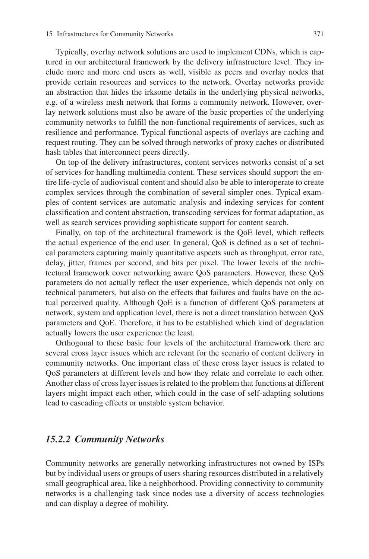Typically, overlay network solutions are used to implement CDNs, which is captured in our architectural framework by the delivery infrastructure level. They include more and more end users as well, visible as peers and overlay nodes that provide certain resources and services to the network. Overlay networks provide an abstraction that hides the irksome details in the underlying physical networks, e.g. of a wireless mesh network that forms a community network. However, overlay network solutions must also be aware of the basic properties of the underlying community networks to fulfill the non-functional requirements of services, such as resilience and performance. Typical functional aspects of overlays are caching and request routing. They can be solved through networks of proxy caches or distributed hash tables that interconnect peers directly.

On top of the delivery infrastructures, content services networks consist of a set of services for handling multimedia content. These services should support the entire life-cycle of audiovisual content and should also be able to interoperate to create complex services through the combination of several simpler ones. Typical examples of content services are automatic analysis and indexing services for content classification and content abstraction, transcoding services for format adaptation, as well as search services providing sophisticate support for content search.

Finally, on top of the architectural framework is the QoE level, which reflects the actual experience of the end user. In general, QoS is defined as a set of technical parameters capturing mainly quantitative aspects such as throughput, error rate, delay, jitter, frames per second, and bits per pixel. The lower levels of the architectural framework cover networking aware QoS parameters. However, these QoS parameters do not actually reflect the user experience, which depends not only on technical parameters, but also on the effects that failures and faults have on the actual perceived quality. Although QoE is a function of different QoS parameters at network, system and application level, there is not a direct translation between QoS parameters and QoE. Therefore, it has to be established which kind of degradation actually lowers the user experience the least.

Orthogonal to these basic four levels of the architectural framework there are several cross layer issues which are relevant for the scenario of content delivery in community networks. One important class of these cross layer issues is related to QoS parameters at different levels and how they relate and correlate to each other. Another class of cross layer issues is related to the problem that functions at different layers might impact each other, which could in the case of self-adapting solutions lead to cascading effects or unstable system behavior.

#### *15.2.2 Community Networks*

Community networks are generally networking infrastructures not owned by ISPs but by individual users or groups of users sharing resources distributed in a relatively small geographical area, like a neighborhood. Providing connectivity to community networks is a challenging task since nodes use a diversity of access technologies and can display a degree of mobility.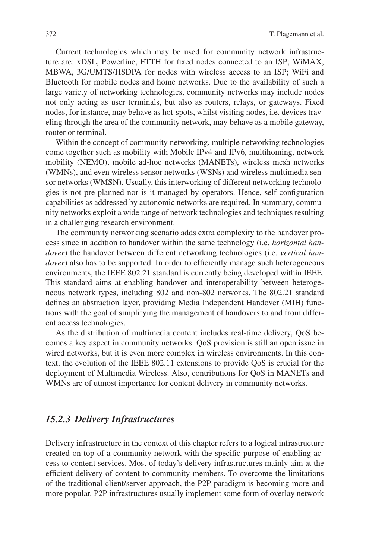Current technologies which may be used for community network infrastructure are: xDSL, Powerline, FTTH for fixed nodes connected to an ISP; WiMAX, MBWA, 3G/UMTS/HSDPA for nodes with wireless access to an ISP; WiFi and Bluetooth for mobile nodes and home networks. Due to the availability of such a large variety of networking technologies, community networks may include nodes not only acting as user terminals, but also as routers, relays, or gateways. Fixed nodes, for instance, may behave as hot-spots, whilst visiting nodes, i.e. devices traveling through the area of the community network, may behave as a mobile gateway, router or terminal.

Within the concept of community networking, multiple networking technologies come together such as mobility with Mobile IPv4 and IPv6, multihoming, network mobility (NEMO), mobile ad-hoc networks (MANETs), wireless mesh networks (WMNs), and even wireless sensor networks (WSNs) and wireless multimedia sensor networks (WMSN). Usually, this interworking of different networking technologies is not pre-planned nor is it managed by operators. Hence, self-configuration capabilities as addressed by autonomic networks are required. In summary, community networks exploit a wide range of network technologies and techniques resulting in a challenging research environment.

The community networking scenario adds extra complexity to the handover process since in addition to handover within the same technology (i.e. *horizontal handover*) the handover between different networking technologies (i.e. *vertical handover*) also has to be supported. In order to efficiently manage such heterogeneous environments, the IEEE 802.21 standard is currently being developed within IEEE. This standard aims at enabling handover and interoperability between heterogeneous network types, including 802 and non-802 networks. The 802.21 standard defines an abstraction layer, providing Media Independent Handover (MIH) functions with the goal of simplifying the management of handovers to and from different access technologies.

As the distribution of multimedia content includes real-time delivery, QoS becomes a key aspect in community networks. QoS provision is still an open issue in wired networks, but it is even more complex in wireless environments. In this context, the evolution of the IEEE 802.11 extensions to provide QoS is crucial for the deployment of Multimedia Wireless. Also, contributions for QoS in MANETs and WMNs are of utmost importance for content delivery in community networks.

#### *15.2.3 Delivery Infrastructures*

Delivery infrastructure in the context of this chapter refers to a logical infrastructure created on top of a community network with the specific purpose of enabling access to content services. Most of today's delivery infrastructures mainly aim at the efficient delivery of content to community members. To overcome the limitations of the traditional client/server approach, the P2P paradigm is becoming more and more popular. P2P infrastructures usually implement some form of overlay network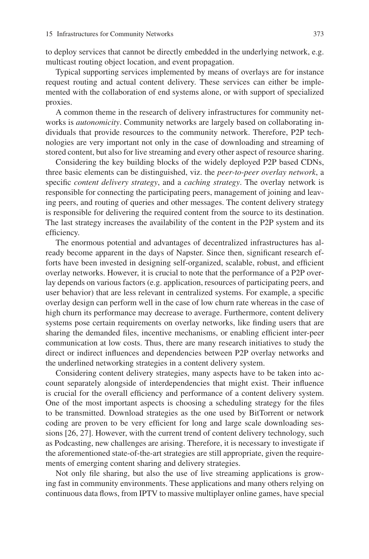to deploy services that cannot be directly embedded in the underlying network, e.g. multicast routing object location, and event propagation.

Typical supporting services implemented by means of overlays are for instance request routing and actual content delivery. These services can either be implemented with the collaboration of end systems alone, or with support of specialized proxies.

A common theme in the research of delivery infrastructures for community networks is *autonomicity*. Community networks are largely based on collaborating individuals that provide resources to the community network. Therefore, P2P technologies are very important not only in the case of downloading and streaming of stored content, but also for live streaming and every other aspect of resource sharing.

Considering the key building blocks of the widely deployed P2P based CDNs, three basic elements can be distinguished, viz. the *peer-to-peer overlay network*, a specific *content delivery strategy*, and a *caching strategy*. The overlay network is responsible for connecting the participating peers, management of joining and leaving peers, and routing of queries and other messages. The content delivery strategy is responsible for delivering the required content from the source to its destination. The last strategy increases the availability of the content in the P2P system and its efficiency.

The enormous potential and advantages of decentralized infrastructures has already become apparent in the days of Napster. Since then, significant research efforts have been invested in designing self-organized, scalable, robust, and efficient overlay networks. However, it is crucial to note that the performance of a P2P overlay depends on various factors (e.g. application, resources of participating peers, and user behavior) that are less relevant in centralized systems. For example, a specific overlay design can perform well in the case of low churn rate whereas in the case of high churn its performance may decrease to average. Furthermore, content delivery systems pose certain requirements on overlay networks, like finding users that are sharing the demanded files, incentive mechanisms, or enabling efficient inter-peer communication at low costs. Thus, there are many research initiatives to study the direct or indirect influences and dependencies between P2P overlay networks and the underlined networking strategies in a content delivery system.

Considering content delivery strategies, many aspects have to be taken into account separately alongside of interdependencies that might exist. Their influence is crucial for the overall efficiency and performance of a content delivery system. One of the most important aspects is choosing a scheduling strategy for the files to be transmitted. Download strategies as the one used by BitTorrent or network coding are proven to be very efficient for long and large scale downloading sessions [26, 27]. However, with the current trend of content delivery technology, such as Podcasting, new challenges are arising. Therefore, it is necessary to investigate if the aforementioned state-of-the-art strategies are still appropriate, given the requirements of emerging content sharing and delivery strategies.

Not only file sharing, but also the use of live streaming applications is growing fast in community environments. These applications and many others relying on continuous data flows, from IPTV to massive multiplayer online games, have special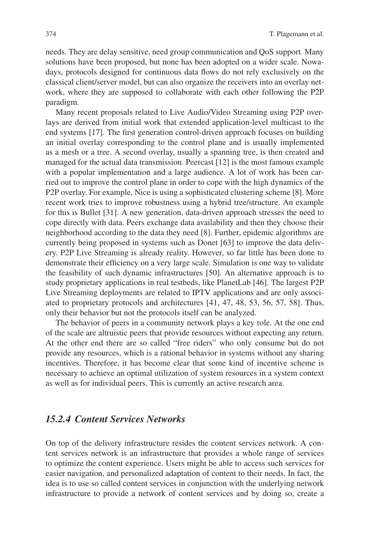needs. They are delay sensitive, need group communication and QoS support. Many solutions have been proposed, but none has been adopted on a wider scale. Nowadays, protocols designed for continuous data flows do not rely exclusively on the classical client/server model, but can also organize the receivers into an overlay network, where they are supposed to collaborate with each other following the P2P paradigm.

Many recent proposals related to Live Audio/Video Streaming using P2P overlays are derived from initial work that extended application-level multicast to the end systems [17]. The first generation control-driven approach focuses on building an initial overlay corresponding to the control plane and is usually implemented as a mesh or a tree. A second overlay, usually a spanning tree, is then created and managed for the actual data transmission. Peercast [12] is the most famous example with a popular implementation and a large audience. A lot of work has been carried out to improve the control plane in order to cope with the high dynamics of the P2P overlay. For example, Nice is using a sophisticated clustering scheme [8]. More recent work tries to improve robustness using a hybrid tree/structure. An example for this is Bullet [31]. A new generation, data-driven approach stresses the need to cope directly with data. Peers exchange data availability and then they choose their neighborhood according to the data they need [8]. Further, epidemic algorithms are currently being proposed in systems such as Donet [63] to improve the data delivery. P2P Live Streaming is already reality. However, so far little has been done to demonstrate their efficiency on a very large scale. Simulation is one way to validate the feasibility of such dynamic infrastructures [50]. An alternative approach is to study proprietary applications in real testbeds, like PlanetLab [46]. The largest P2P Live Streaming deployments are related to IPTV applications and are only associated to proprietary protocols and architectures [41, 47, 48, 53, 56, 57, 58]. Thus, only their behavior but not the protocols itself can be analyzed.

The behavior of peers in a community network plays a key role. At the one end of the scale are altruistic peers that provide resources without expecting any return. At the other end there are so called "free riders" who only consume but do not provide any resources, which is a rational behavior in systems without any sharing incentives. Therefore, it has become clear that some kind of incentive scheme is necessary to achieve an optimal utilization of system resources in a system context as well as for individual peers. This is currently an active research area.

## *15.2.4 Content Services Networks*

On top of the delivery infrastructure resides the content services network. A content services network is an infrastructure that provides a whole range of services to optimize the content experience. Users might be able to access such services for easier navigation, and personalized adaptation of content to their needs. In fact, the idea is to use so called content services in conjunction with the underlying network infrastructure to provide a network of content services and by doing so, create a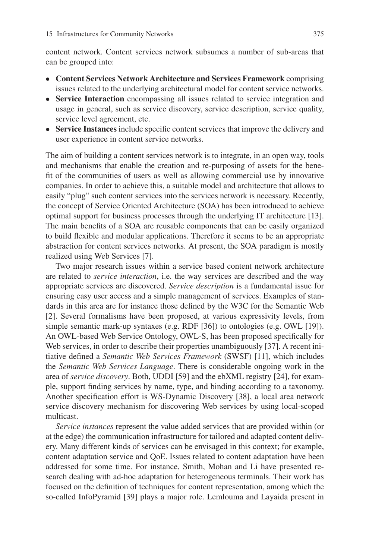content network. Content services network subsumes a number of sub-areas that can be grouped into:

- **Content Services Network Architecture and Services Framework** comprising issues related to the underlying architectural model for content service networks.
- **Service Interaction** encompassing all issues related to service integration and usage in general, such as service discovery, service description, service quality, service level agreement, etc.
- **Service Instances** include specific content services that improve the delivery and user experience in content service networks.

The aim of building a content services network is to integrate, in an open way, tools and mechanisms that enable the creation and re-purposing of assets for the benefit of the communities of users as well as allowing commercial use by innovative companies. In order to achieve this, a suitable model and architecture that allows to easily "plug" such content services into the services network is necessary. Recently, the concept of Service Oriented Architecture (SOA) has been introduced to achieve optimal support for business processes through the underlying IT architecture [13]. The main benefits of a SOA are reusable components that can be easily organized to build flexible and modular applications. Therefore it seems to be an appropriate abstraction for content services networks. At present, the SOA paradigm is mostly realized using Web Services [7].

Two major research issues within a service based content network architecture are related to *service interaction*, i.e. the way services are described and the way appropriate services are discovered. *Service description* is a fundamental issue for ensuring easy user access and a simple management of services. Examples of standards in this area are for instance those defined by the W3C for the Semantic Web [2]. Several formalisms have been proposed, at various expressivity levels, from simple semantic mark-up syntaxes (e.g. RDF [36]) to ontologies (e.g. OWL [19]). An OWL-based Web Service Ontology, OWL-S, has been proposed specifically for Web services, in order to describe their properties unambiguously [37]. A recent initiative defined a *Semantic Web Services Framework* (SWSF) [11], which includes the *Semantic Web Services Language*. There is considerable ongoing work in the area of *service discovery*. Both, UDDI [59] and the ebXML registry [24], for example, support finding services by name, type, and binding according to a taxonomy. Another specification effort is WS-Dynamic Discovery [38], a local area network service discovery mechanism for discovering Web services by using local-scoped multicast.

*Service instances* represent the value added services that are provided within (or at the edge) the communication infrastructure for tailored and adapted content delivery. Many different kinds of services can be envisaged in this context; for example, content adaptation service and QoE. Issues related to content adaptation have been addressed for some time. For instance, Smith, Mohan and Li have presented research dealing with ad-hoc adaptation for heterogeneous terminals. Their work has focused on the definition of techniques for content representation, among which the so-called InfoPyramid [39] plays a major role. Lemlouma and Layaida present in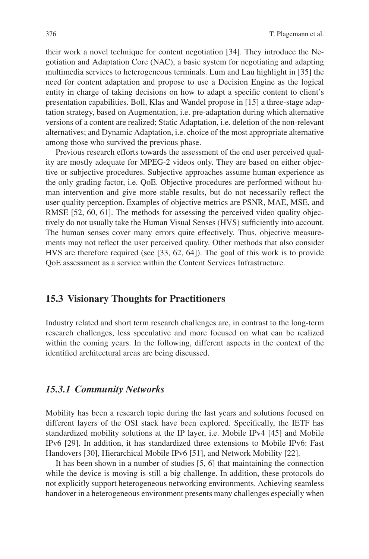their work a novel technique for content negotiation [34]. They introduce the Negotiation and Adaptation Core (NAC), a basic system for negotiating and adapting multimedia services to heterogeneous terminals. Lum and Lau highlight in [35] the need for content adaptation and propose to use a Decision Engine as the logical entity in charge of taking decisions on how to adapt a specific content to client's presentation capabilities. Boll, Klas and Wandel propose in [15] a three-stage adaptation strategy, based on Augmentation, i.e. pre-adaptation during which alternative versions of a content are realized; Static Adaptation, i.e. deletion of the non-relevant alternatives; and Dynamic Adaptation, i.e. choice of the most appropriate alternative among those who survived the previous phase.

Previous research efforts towards the assessment of the end user perceived quality are mostly adequate for MPEG-2 videos only. They are based on either objective or subjective procedures. Subjective approaches assume human experience as the only grading factor, i.e. QoE. Objective procedures are performed without human intervention and give more stable results, but do not necessarily reflect the user quality perception. Examples of objective metrics are PSNR, MAE, MSE, and RMSE [52, 60, 61]. The methods for assessing the perceived video quality objectively do not usually take the Human Visual Senses (HVS) sufficiently into account. The human senses cover many errors quite effectively. Thus, objective measurements may not reflect the user perceived quality. Other methods that also consider HVS are therefore required (see [33, 62, 64]). The goal of this work is to provide QoE assessment as a service within the Content Services Infrastructure.

#### **15.3 Visionary Thoughts for Practitioners**

Industry related and short term research challenges are, in contrast to the long-term research challenges, less speculative and more focused on what can be realized within the coming years. In the following, different aspects in the context of the identified architectural areas are being discussed.

#### *15.3.1 Community Networks*

Mobility has been a research topic during the last years and solutions focused on different layers of the OSI stack have been explored. Specifically, the IETF has standardized mobility solutions at the IP layer, i.e. Mobile IPv4 [45] and Mobile IPv6 [29]. In addition, it has standardized three extensions to Mobile IPv6: Fast Handovers [30], Hierarchical Mobile IPv6 [51], and Network Mobility [22].

It has been shown in a number of studies [5, 6] that maintaining the connection while the device is moving is still a big challenge. In addition, these protocols do not explicitly support heterogeneous networking environments. Achieving seamless handover in a heterogeneous environment presents many challenges especially when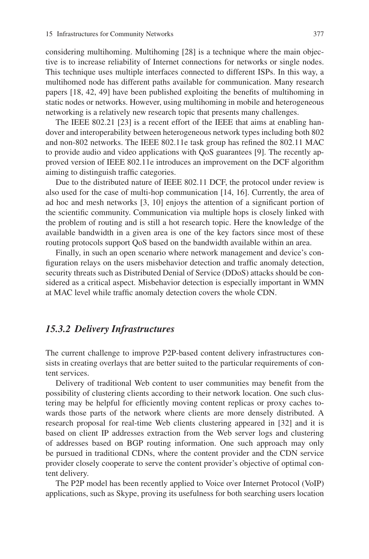considering multihoming. Multihoming [28] is a technique where the main objective is to increase reliability of Internet connections for networks or single nodes. This technique uses multiple interfaces connected to different ISPs. In this way, a multihomed node has different paths available for communication. Many research papers [18, 42, 49] have been published exploiting the benefits of multihoming in static nodes or networks. However, using multihoming in mobile and heterogeneous networking is a relatively new research topic that presents many challenges.

The IEEE 802.21 [23] is a recent effort of the IEEE that aims at enabling handover and interoperability between heterogeneous network types including both 802 and non-802 networks. The IEEE 802.11e task group has refined the 802.11 MAC to provide audio and video applications with QoS guarantees [9]. The recently approved version of IEEE 802.11e introduces an improvement on the DCF algorithm aiming to distinguish traffic categories.

Due to the distributed nature of IEEE 802.11 DCF, the protocol under review is also used for the case of multi-hop communication [14, 16]. Currently, the area of ad hoc and mesh networks [3, 10] enjoys the attention of a significant portion of the scientific community. Communication via multiple hops is closely linked with the problem of routing and is still a hot research topic. Here the knowledge of the available bandwidth in a given area is one of the key factors since most of these routing protocols support QoS based on the bandwidth available within an area.

Finally, in such an open scenario where network management and device's configuration relays on the users misbehavior detection and traffic anomaly detection, security threats such as Distributed Denial of Service (DDoS) attacks should be considered as a critical aspect. Misbehavior detection is especially important in WMN at MAC level while traffic anomaly detection covers the whole CDN.

## *15.3.2 Delivery Infrastructures*

The current challenge to improve P2P-based content delivery infrastructures consists in creating overlays that are better suited to the particular requirements of content services.

Delivery of traditional Web content to user communities may benefit from the possibility of clustering clients according to their network location. One such clustering may be helpful for efficiently moving content replicas or proxy caches towards those parts of the network where clients are more densely distributed. A research proposal for real-time Web clients clustering appeared in [32] and it is based on client IP addresses extraction from the Web server logs and clustering of addresses based on BGP routing information. One such approach may only be pursued in traditional CDNs, where the content provider and the CDN service provider closely cooperate to serve the content provider's objective of optimal content delivery.

The P2P model has been recently applied to Voice over Internet Protocol (VoIP) applications, such as Skype, proving its usefulness for both searching users location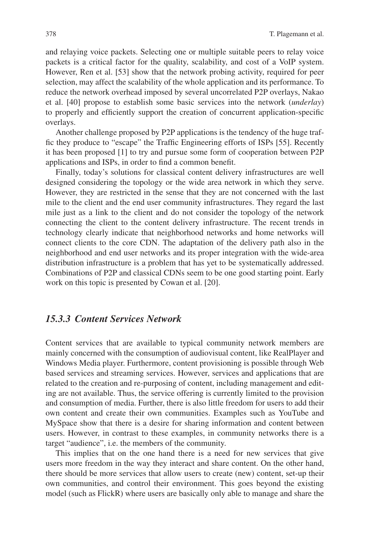and relaying voice packets. Selecting one or multiple suitable peers to relay voice packets is a critical factor for the quality, scalability, and cost of a VoIP system. However, Ren et al. [53] show that the network probing activity, required for peer selection, may affect the scalability of the whole application and its performance. To reduce the network overhead imposed by several uncorrelated P2P overlays, Nakao et al. [40] propose to establish some basic services into the network (*underlay*) to properly and efficiently support the creation of concurrent application-specific overlays.

Another challenge proposed by P2P applications is the tendency of the huge traffic they produce to "escape" the Traffic Engineering efforts of ISPs [55]. Recently it has been proposed [1] to try and pursue some form of cooperation between P2P applications and ISPs, in order to find a common benefit.

Finally, today's solutions for classical content delivery infrastructures are well designed considering the topology or the wide area network in which they serve. However, they are restricted in the sense that they are not concerned with the last mile to the client and the end user community infrastructures. They regard the last mile just as a link to the client and do not consider the topology of the network connecting the client to the content delivery infrastructure. The recent trends in technology clearly indicate that neighborhood networks and home networks will connect clients to the core CDN. The adaptation of the delivery path also in the neighborhood and end user networks and its proper integration with the wide-area distribution infrastructure is a problem that has yet to be systematically addressed. Combinations of P2P and classical CDNs seem to be one good starting point. Early work on this topic is presented by Cowan et al. [20].

#### *15.3.3 Content Services Network*

Content services that are available to typical community network members are mainly concerned with the consumption of audiovisual content, like RealPlayer and Windows Media player. Furthermore, content provisioning is possible through Web based services and streaming services. However, services and applications that are related to the creation and re-purposing of content, including management and editing are not available. Thus, the service offering is currently limited to the provision and consumption of media. Further, there is also little freedom for users to add their own content and create their own communities. Examples such as YouTube and MySpace show that there is a desire for sharing information and content between users. However, in contrast to these examples, in community networks there is a target "audience", i.e. the members of the community.

This implies that on the one hand there is a need for new services that give users more freedom in the way they interact and share content. On the other hand, there should be more services that allow users to create (new) content, set-up their own communities, and control their environment. This goes beyond the existing model (such as FlickR) where users are basically only able to manage and share the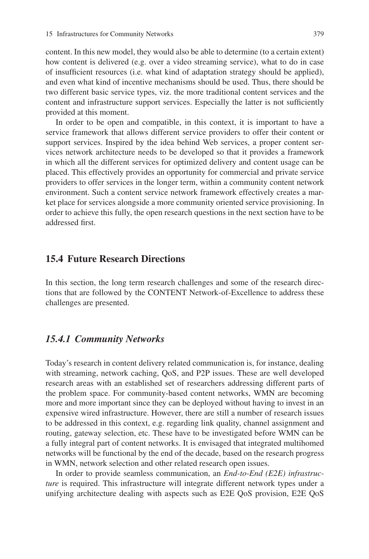content. In this new model, they would also be able to determine (to a certain extent) how content is delivered (e.g. over a video streaming service), what to do in case of insufficient resources (i.e. what kind of adaptation strategy should be applied), and even what kind of incentive mechanisms should be used. Thus, there should be two different basic service types, viz. the more traditional content services and the content and infrastructure support services. Especially the latter is not sufficiently provided at this moment.

In order to be open and compatible, in this context, it is important to have a service framework that allows different service providers to offer their content or support services. Inspired by the idea behind Web services, a proper content services network architecture needs to be developed so that it provides a framework in which all the different services for optimized delivery and content usage can be placed. This effectively provides an opportunity for commercial and private service providers to offer services in the longer term, within a community content network environment. Such a content service network framework effectively creates a market place for services alongside a more community oriented service provisioning. In order to achieve this fully, the open research questions in the next section have to be addressed first.

## **15.4 Future Research Directions**

In this section, the long term research challenges and some of the research directions that are followed by the CONTENT Network-of-Excellence to address these challenges are presented.

#### *15.4.1 Community Networks*

Today's research in content delivery related communication is, for instance, dealing with streaming, network caching, QoS, and P2P issues. These are well developed research areas with an established set of researchers addressing different parts of the problem space. For community-based content networks, WMN are becoming more and more important since they can be deployed without having to invest in an expensive wired infrastructure. However, there are still a number of research issues to be addressed in this context, e.g. regarding link quality, channel assignment and routing, gateway selection, etc. These have to be investigated before WMN can be a fully integral part of content networks. It is envisaged that integrated multihomed networks will be functional by the end of the decade, based on the research progress in WMN, network selection and other related research open issues.

In order to provide seamless communication, an *End-to-End (E2E) infrastructure* is required. This infrastructure will integrate different network types under a unifying architecture dealing with aspects such as E2E QoS provision, E2E QoS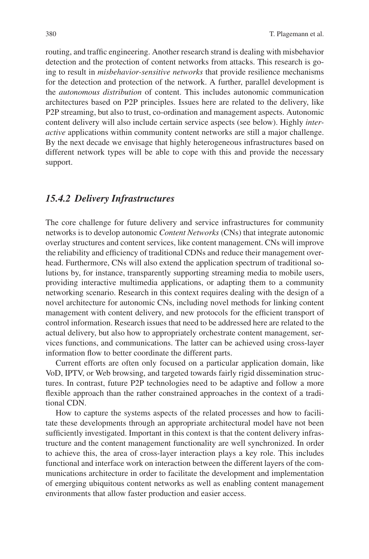routing, and traffic engineering. Another research strand is dealing with misbehavior detection and the protection of content networks from attacks. This research is going to result in *misbehavior-sensitive networks* that provide resilience mechanisms for the detection and protection of the network. A further, parallel development is the *autonomous distribution* of content. This includes autonomic communication architectures based on P2P principles. Issues here are related to the delivery, like P2P streaming, but also to trust, co-ordination and management aspects. Autonomic content delivery will also include certain service aspects (see below). Highly *interactive* applications within community content networks are still a major challenge. By the next decade we envisage that highly heterogeneous infrastructures based on different network types will be able to cope with this and provide the necessary support.

#### *15.4.2 Delivery Infrastructures*

The core challenge for future delivery and service infrastructures for community networks is to develop autonomic *Content Networks* (CNs) that integrate autonomic overlay structures and content services, like content management. CNs will improve the reliability and efficiency of traditional CDNs and reduce their management overhead. Furthermore, CNs will also extend the application spectrum of traditional solutions by, for instance, transparently supporting streaming media to mobile users, providing interactive multimedia applications, or adapting them to a community networking scenario. Research in this context requires dealing with the design of a novel architecture for autonomic CNs, including novel methods for linking content management with content delivery, and new protocols for the efficient transport of control information. Research issues that need to be addressed here are related to the actual delivery, but also how to appropriately orchestrate content management, services functions, and communications. The latter can be achieved using cross-layer information flow to better coordinate the different parts.

Current efforts are often only focused on a particular application domain, like VoD, IPTV, or Web browsing, and targeted towards fairly rigid dissemination structures. In contrast, future P2P technologies need to be adaptive and follow a more flexible approach than the rather constrained approaches in the context of a traditional CDN.

How to capture the systems aspects of the related processes and how to facilitate these developments through an appropriate architectural model have not been sufficiently investigated. Important in this context is that the content delivery infrastructure and the content management functionality are well synchronized. In order to achieve this, the area of cross-layer interaction plays a key role. This includes functional and interface work on interaction between the different layers of the communications architecture in order to facilitate the development and implementation of emerging ubiquitous content networks as well as enabling content management environments that allow faster production and easier access.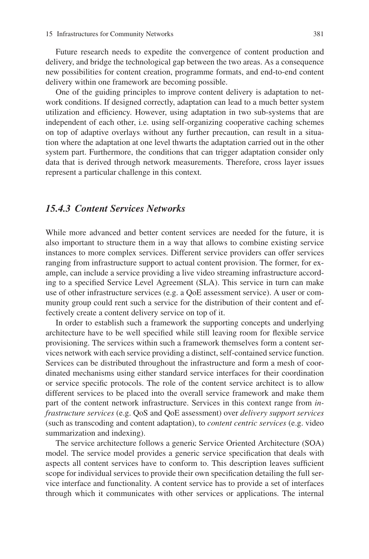Future research needs to expedite the convergence of content production and delivery, and bridge the technological gap between the two areas. As a consequence new possibilities for content creation, programme formats, and end-to-end content delivery within one framework are becoming possible.

One of the guiding principles to improve content delivery is adaptation to network conditions. If designed correctly, adaptation can lead to a much better system utilization and efficiency. However, using adaptation in two sub-systems that are independent of each other, i.e. using self-organizing cooperative caching schemes on top of adaptive overlays without any further precaution, can result in a situation where the adaptation at one level thwarts the adaptation carried out in the other system part. Furthermore, the conditions that can trigger adaptation consider only data that is derived through network measurements. Therefore, cross layer issues represent a particular challenge in this context.

#### *15.4.3 Content Services Networks*

While more advanced and better content services are needed for the future, it is also important to structure them in a way that allows to combine existing service instances to more complex services. Different service providers can offer services ranging from infrastructure support to actual content provision. The former, for example, can include a service providing a live video streaming infrastructure according to a specified Service Level Agreement (SLA). This service in turn can make use of other infrastructure services (e.g. a QoE assessment service). A user or community group could rent such a service for the distribution of their content and effectively create a content delivery service on top of it.

In order to establish such a framework the supporting concepts and underlying architecture have to be well specified while still leaving room for flexible service provisioning. The services within such a framework themselves form a content services network with each service providing a distinct, self-contained service function. Services can be distributed throughout the infrastructure and form a mesh of coordinated mechanisms using either standard service interfaces for their coordination or service specific protocols. The role of the content service architect is to allow different services to be placed into the overall service framework and make them part of the content network infrastructure. Services in this context range from *infrastructure services* (e.g. QoS and QoE assessment) over *delivery support services* (such as transcoding and content adaptation), to *content centric services* (e.g. video summarization and indexing).

The service architecture follows a generic Service Oriented Architecture (SOA) model. The service model provides a generic service specification that deals with aspects all content services have to conform to. This description leaves sufficient scope for individual services to provide their own specification detailing the full service interface and functionality. A content service has to provide a set of interfaces through which it communicates with other services or applications. The internal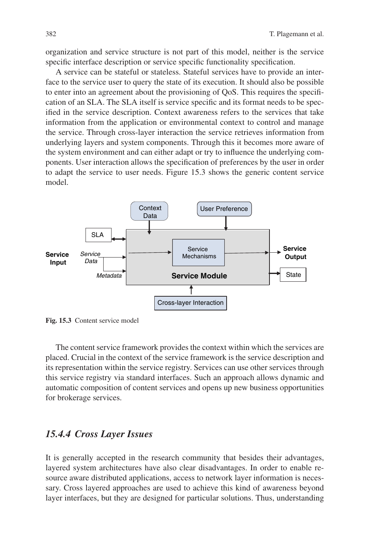organization and service structure is not part of this model, neither is the service specific interface description or service specific functionality specification.

A service can be stateful or stateless. Stateful services have to provide an interface to the service user to query the state of its execution. It should also be possible to enter into an agreement about the provisioning of QoS. This requires the specification of an SLA. The SLA itself is service specific and its format needs to be specified in the service description. Context awareness refers to the services that take information from the application or environmental context to control and manage the service. Through cross-layer interaction the service retrieves information from underlying layers and system components. Through this it becomes more aware of the system environment and can either adapt or try to influence the underlying components. User interaction allows the specification of preferences by the user in order to adapt the service to user needs. Figure 15.3 shows the generic content service model.



**Fig. 15.3** Content service model

The content service framework provides the context within which the services are placed. Crucial in the context of the service framework is the service description and its representation within the service registry. Services can use other services through this service registry via standard interfaces. Such an approach allows dynamic and automatic composition of content services and opens up new business opportunities for brokerage services.

#### *15.4.4 Cross Layer Issues*

It is generally accepted in the research community that besides their advantages, layered system architectures have also clear disadvantages. In order to enable resource aware distributed applications, access to network layer information is necessary. Cross layered approaches are used to achieve this kind of awareness beyond layer interfaces, but they are designed for particular solutions. Thus, understanding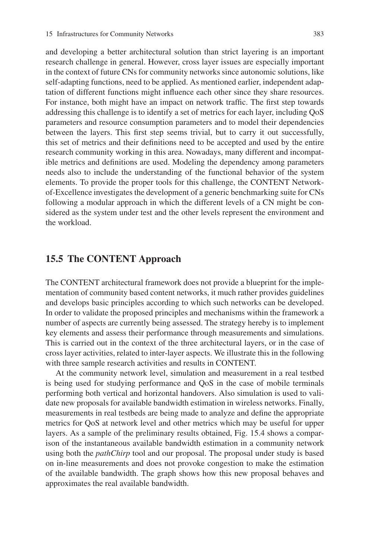and developing a better architectural solution than strict layering is an important research challenge in general. However, cross layer issues are especially important in the context of future CNs for community networks since autonomic solutions, like self-adapting functions, need to be applied. As mentioned earlier, independent adaptation of different functions might influence each other since they share resources. For instance, both might have an impact on network traffic. The first step towards addressing this challenge is to identify a set of metrics for each layer, including QoS parameters and resource consumption parameters and to model their dependencies between the layers. This first step seems trivial, but to carry it out successfully, this set of metrics and their definitions need to be accepted and used by the entire research community working in this area. Nowadays, many different and incompatible metrics and definitions are used. Modeling the dependency among parameters needs also to include the understanding of the functional behavior of the system elements. To provide the proper tools for this challenge, the CONTENT Networkof-Excellence investigates the development of a generic benchmarking suite for CNs following a modular approach in which the different levels of a CN might be considered as the system under test and the other levels represent the environment and the workload.

## **15.5 The CONTENT Approach**

The CONTENT architectural framework does not provide a blueprint for the implementation of community based content networks, it much rather provides guidelines and develops basic principles according to which such networks can be developed. In order to validate the proposed principles and mechanisms within the framework a number of aspects are currently being assessed. The strategy hereby is to implement key elements and assess their performance through measurements and simulations. This is carried out in the context of the three architectural layers, or in the case of cross layer activities, related to inter-layer aspects. We illustrate this in the following with three sample research activities and results in CONTENT.

At the community network level, simulation and measurement in a real testbed is being used for studying performance and QoS in the case of mobile terminals performing both vertical and horizontal handovers. Also simulation is used to validate new proposals for available bandwidth estimation in wireless networks. Finally, measurements in real testbeds are being made to analyze and define the appropriate metrics for QoS at network level and other metrics which may be useful for upper layers. As a sample of the preliminary results obtained, Fig. 15.4 shows a comparison of the instantaneous available bandwidth estimation in a community network using both the *pathChirp* tool and our proposal. The proposal under study is based on in-line measurements and does not provoke congestion to make the estimation of the available bandwidth. The graph shows how this new proposal behaves and approximates the real available bandwidth.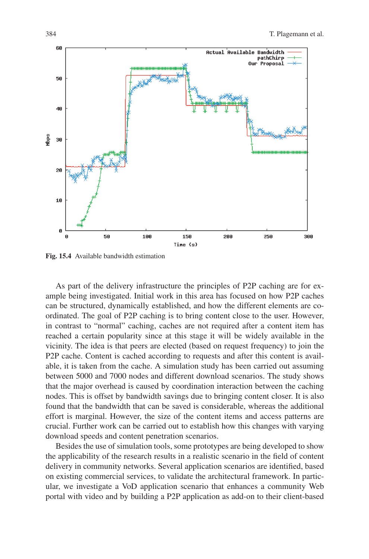

**Fig. 15.4** Available bandwidth estimation

As part of the delivery infrastructure the principles of P2P caching are for example being investigated. Initial work in this area has focused on how P2P caches can be structured, dynamically established, and how the different elements are coordinated. The goal of P2P caching is to bring content close to the user. However, in contrast to "normal" caching, caches are not required after a content item has reached a certain popularity since at this stage it will be widely available in the vicinity. The idea is that peers are elected (based on request frequency) to join the P2P cache. Content is cached according to requests and after this content is available, it is taken from the cache. A simulation study has been carried out assuming between 5000 and 7000 nodes and different download scenarios. The study shows that the major overhead is caused by coordination interaction between the caching nodes. This is offset by bandwidth savings due to bringing content closer. It is also found that the bandwidth that can be saved is considerable, whereas the additional effort is marginal. However, the size of the content items and access patterns are crucial. Further work can be carried out to establish how this changes with varying download speeds and content penetration scenarios.

Besides the use of simulation tools, some prototypes are being developed to show the applicability of the research results in a realistic scenario in the field of content delivery in community networks. Several application scenarios are identified, based on existing commercial services, to validate the architectural framework. In particular, we investigate a VoD application scenario that enhances a community Web portal with video and by building a P2P application as add-on to their client-based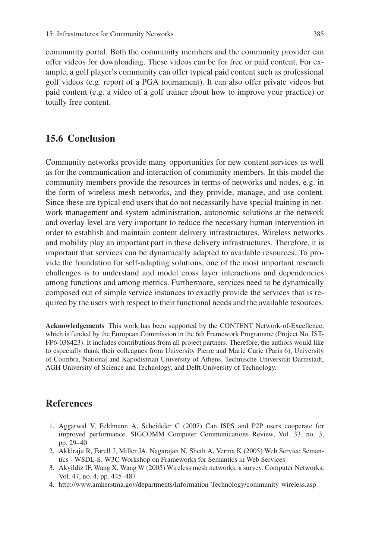community portal. Both the community members and the community provider can offer videos for downloading. These videos can be for free or paid content. For example, a golf player's community can offer typical paid content such as professional golf videos (e.g. report of a PGA tournament). It can also offer private videos but paid content (e.g. a video of a golf trainer about how to improve your practice) or totally free content.

## **15.6 Conclusion**

Community networks provide many opportunities for new content services as well as for the communication and interaction of community members. In this model the community members provide the resources in terms of networks and nodes, e.g. in the form of wireless mesh networks, and they provide, manage, and use content. Since these are typical end users that do not necessarily have special training in network management and system administration, autonomic solutions at the network and overlay level are very important to reduce the necessary human intervention in order to establish and maintain content delivery infrastructures. Wireless networks and mobility play an important part in these delivery infrastructures. Therefore, it is important that services can be dynamically adapted to available resources. To provide the foundation for self-adapting solutions, one of the most important research challenges is to understand and model cross layer interactions and dependencies among functions and among metrics. Furthermore, services need to be dynamically composed out of simple service instances to exactly provide the services that is required by the users with respect to their functional needs and the available resources.

**Acknowledgements** This work has been supported by the CONTENT Network-of-Excellence, which is funded by the European Commission in the 6th Framework Programme (Project No. IST-FP6-038423). It includes contributions from all project partners. Therefore, the authors would like to especially thank their colleagues from University Pierre and Marie Curie (Paris 6), University of Coimbra, National and Kapodistrian University of Athens, Technische Universitat Darmstadt, ¨ AGH University of Science and Technology, and Delft University of Technology.

#### **References**

- 1. Aggarwal V, Feldmann A, Scheideler C (2007) Can ISPS and P2P users cooperate for improved performance. SIGCOMM Computer Communications Review, Vol. 33, no. 3, pp. 29–40
- 2. Akkiraju R, Farell J, Miller JA, Nagarajan N, Sheth A, Verma K (2005) Web Service Semantics - WSDL-S. W3C Workshop on Frameworks for Semantics in Web Services
- 3. Akyildiz IF, Wang X, Wang W (2005) Wireless mesh networks: a survey. Computer Networks, Vol. 47, no. 4, pp. 445–487
- 4. http://www.amherstma.gov/departments/Information Technology/community wireless.asp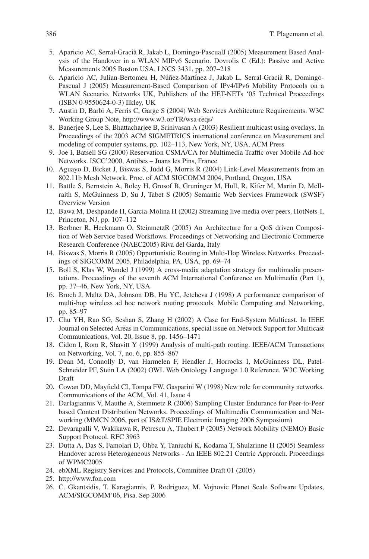- 5. Aparicio AC, Serral-Gracia R, Jakab L, Domingo-PascualJ (2005) Measurement Based Anal- ` ysis of the Handover in a WLAN MIPv6 Scenario. Dovrolis C (Ed.): Passive and Active Measurements 2005 Boston USA, LNCS 3431, pp. 207–218
- 6. Aparicio AC, Julian-Bertomeu H, Núñez-Martínez J, Jakab L, Serral-Gracià R, Domingo-Pascual J (2005) Measurement-Based Comparison of IPv4/IPv6 Mobility Protocols on a WLAN Scenario. Networks UK, Publishers of the HET-NETs '05 Technical Proceedings (ISBN 0-9550624-0-3) Ilkley, UK
- 7. Austin D, Barbi A, Ferris C, Garge S (2004) Web Services Architecture Requirements. W3C Working Group Note, http://www.w3.or/TR/wsa-reqs/
- 8. Banerjee S, Lee S, Bhattacharjee B, Srinivasan A (2003) Resilient multicast using overlays. In Proceedings of the 2003 ACM SIGMETRICS international conference on Measurement and modeling of computer systems, pp. 102–113, New York, NY, USA, ACM Press
- 9. Joe I, Batsell SG (2000) Reservation CSMA/CA for Multimedia Traffic over Mobile Ad-hoc Networks. ISCC'2000, Antibes – Juans les Pins, France
- 10. Aguayo D, Bicket J, Biswas S, Judd G, Morris R (2004) Link-Level Measurements from an 802.11b Mesh Network. Proc. of ACM SIGCOMM 2004, Portland, Oregon, USA
- 11. Battle S, Bernstein A, Boley H, Grosof B, Gruninger M, Hull, R, Kifer M, Martin D, McIlraith S, McGuinness D, Su J, Tabet S (2005) Semantic Web Services Framework (SWSF) Overview Version
- 12. Bawa M, Deshpande H, Garcia-Molina H (2002) Streaming live media over peers. HotNets-I, Princeton, NJ, pp. 107–112
- 13. Berbner R, Heckmann O, SteinmetzR (2005) An Architecture for a QoS driven Composition of Web Service based Workflows. Proceedings of Networking and Electronic Commerce Research Conference (NAEC2005) Riva del Garda, Italy
- 14. Biswas S, Morris R (2005) Opportunistic Routing in Multi-Hop Wireless Networks. Proceedings of SIGCOMM 2005, Philadelphia, PA, USA, pp. 69–74
- 15. Boll S, Klas W, Wandel J (1999) A cross-media adaptation strategy for multimedia presentations. Proceedings of the seventh ACM International Conference on Multimedia (Part 1), pp. 37–46, New York, NY, USA
- 16. Broch J, Maltz DA, Johnson DB, Hu YC, Jetcheva J (1998) A performance comparison of multi-hop wireless ad hoc network routing protocols. Mobile Computing and Networking, pp. 85–97
- 17. Chu YH, Rao SG, Seshan S, Zhang H (2002) A Case for End-System Multicast. In IEEE Journal on Selected Areas in Communications, special issue on Network Support for Multicast Communications, Vol. 20, Issue 8, pp. 1456–1471
- 18. Cidon I, Rom R, Shavitt Y (1999) Analysis of multi-path routing. IEEE/ACM Transactions on Networking, Vol. 7, no. 6, pp. 855–867
- 19. Dean M, Connolly D, van Harmelen F, Hendler J, Horrocks I, McGuinness DL, Patel-Schneider PF, Stein LA (2002) OWL Web Ontology Language 1.0 Reference. W3C Working Draft
- 20. Cowan DD, Mayfield CI, Tompa FW, Gasparini W (1998) New role for community networks. Communications of the ACM, Vol. 41, Issue 4
- 21. Darlagiannis V, Mauthe A, Steinmetz R (2006) Sampling Cluster Endurance for Peer-to-Peer based Content Distribution Networks. Proceedings of Multimedia Communication and Networking (MMCN 2006, part of IS&T/SPIE Electronic Imaging 2006 Symposium)
- 22. Devarapalli V, Wakikawa R, Petrescu A, Thubert P (2005) Network Mobility (NEMO) Basic Support Protocol. RFC 3963
- 23. Dutta A, Das S, Famolari D, Ohba Y, Taniuchi K, Kodama T, Shulzrinne H (2005) Seamless Handover across Heterogeneous Networks - An IEEE 802.21 Centric Approach. Proceedings of WPMC2005
- 24. ebXML Registry Services and Protocols, Committee Draft 01 (2005)
- 25. http://www.fon.com
- 26. C. Gkantsidis, T. Karagiannis, P. Rodriguez, M. Vojnovic Planet Scale Software Updates, ACM/SIGCOMM'06, Pisa. Sep 2006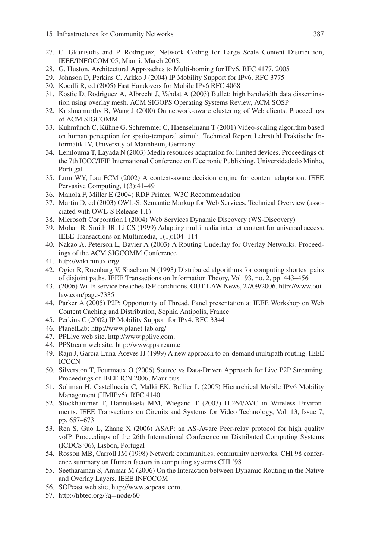- 15 Infrastructures for Community Networks 387
- 27. C. Gkantsidis and P. Rodriguez, Network Coding for Large Scale Content Distribution, IEEE/INFOCOM'05, Miami. March 2005.
- 28. G. Huston, Architectural Approaches to Multi-homing for IPv6, RFC 4177, 2005
- 29. Johnson D, Perkins C, Arkko J (2004) IP Mobility Support for IPv6. RFC 3775
- 30. Koodli R, ed (2005) Fast Handovers for Mobile IPv6 RFC 4068
- 31. Kostic D, Rodriguez A, Albrecht J, Vahdat A (2003) Bullet: high bandwidth data dissemination using overlay mesh. ACM SIGOPS Operating Systems Review, ACM SOSP
- 32. Krishnamurthy B, Wang J (2000) On network-aware clustering of Web clients. Proceedings of ACM SIGCOMM
- 33. Kuhmünch C, Kühne G, Schremmer C, Haenselmann T (2001) Video-scaling algorithm based on human perception for spatio-temporal stimuli. Technical Report Lehrstuhl Praktische Informatik IV, University of Mannheim, Germany
- 34. Lemlouma T, Layada N (2003) Media resources adaptation for limited devices. Proceedings of the 7th ICCC/IFIP International Conference on Electronic Publishing, Universidadedo Minho, Portugal
- 35. Lum WY, Lau FCM (2002) A context-aware decision engine for content adaptation. IEEE Pervasive Computing, 1(3):41–49
- 36. Manola F, Miller E (2004) RDF Primer. W3C Recommendation
- 37. Martin D, ed (2003) OWL-S: Semantic Markup for Web Services. Technical Overview (associated with OWL-S Release 1.1)
- 38. Microsoft Corporation I (2004) Web Services Dynamic Discovery (WS-Discovery)
- 39. Mohan R, Smith JR, Li CS (1999) Adapting multimedia internet content for universal access. IEEE Transactions on Multimedia, 1(1):104–114
- 40. Nakao A, Peterson L, Bavier A (2003) A Routing Underlay for Overlay Networks. Proceedings of the ACM SIGCOMM Conference
- 41. http://wiki.ninux.org/
- 42. Ogier R, Ruenburg V, Shacham N (1993) Distributed algorithms for computing shortest pairs of disjoint paths. IEEE Transactions on Information Theory, Vol. 93, no. 2, pp. 443–456
- 43. (2006) Wi-Fi service breaches ISP conditions. OUT-LAW News, 27/09/2006. http://www.outlaw.com/page-7335
- 44. Parker A (2005) P2P: Opportunity of Thread. Panel presentation at IEEE Workshop on Web Content Caching and Distribution, Sophia Antipolis, France
- 45. Perkins C (2002) IP Mobility Support for IPv4. RFC 3344
- 46. PlanetLab: http://www.planet-lab.org/
- 47. PPLive web site, http://www.pplive.com.
- 48. PPStream web site, http://www.ppstream.c
- 49. Raju J, Garcia-Luna-Aceves JJ (1999) A new approach to on-demand multipath routing. IEEE **ICCCN**
- 50. Silverston T, Fourmaux O (2006) Source vs Data-Driven Approach for Live P2P Streaming. Proceedings of IEEE ICN 2006, Mauritius
- 51. Soliman H, Castelluccia C, Malki EK, Bellier L (2005) Hierarchical Mobile IPv6 Mobility Management (HMIPv6). RFC 4140
- 52. Stockhammer T, Hannuksela MM, Wiegand T (2003) H.264/AVC in Wireless Environments. IEEE Transactions on Circuits and Systems for Video Technology, Vol. 13, Issue 7, pp. 657–673
- 53. Ren S, Guo L, Zhang X (2006) ASAP: an AS-Aware Peer-relay protocol for high quality voIP. Proceedings of the 26th International Conference on Distributed Computing Systems (ICDCS'06), Lisbon, Portugal
- 54. Rosson MB, Carroll JM (1998) Network communities, community networks. CHI 98 conference summary on Human factors in computing systems CHI '98
- 55. Seetharaman S, Ammar M (2006) On the Interaction between Dynamic Routing in the Native and Overlay Layers. IEEE INFOCOM
- 56. SOPcast web site, http://www.sopcast.com.
- 57. http://tibtec.org/?q=node/60